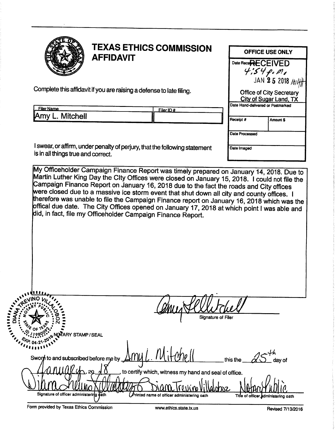| TEXAS ETHIC<br>$_{\mathtt{A}}$ TEXAS ETHICS COMMISSION<br>OFFICE USE ONLY<br>Date Rece <b>RECEIVED</b><br>Complete this affidavit if you are raising a defense to late filing.<br>Office of City Secretary<br>City of Sugar Land, TX<br>Date Hand-delivered or Postmarked<br>Filer Name<br>Amy L. Mitchell<br>$\begin{array}{ c c c c c }\n\hline\n\text{Filer ID } \# & \text{[a] } \n\hline\n\end{array}$<br>Amount \$<br>Receipt #                                                                        |  |  |  |
|--------------------------------------------------------------------------------------------------------------------------------------------------------------------------------------------------------------------------------------------------------------------------------------------------------------------------------------------------------------------------------------------------------------------------------------------------------------------------------------------------------------|--|--|--|
| Date Processed<br>I swear, or affirm, under penalty of perjury, that the following statement<br>is in all things true and correct.<br>Date Imaged<br>My Officeholder Campaign Finance Report was timely prepared on January 14, 2018. Due to<br>Martin Luther King Day the City Offices were closed on January 15, 2018. I could not file the<br>Campaign Finance Report on January 16, 2                                                                                                                    |  |  |  |
| $\overline{0.00}$<br><b>SARA AREA AND PIRETTEL</b><br>Helitchel<br>Signature of Filer                                                                                                                                                                                                                                                                                                                                                                                                                        |  |  |  |
| $40.04 - 21 - 10$<br>Swort to and subscribed before me by $\Delta$ my L. Mitchell this the 25 day of<br>$\bigcap$ $\bigcup$ $\bigcup$ $\bigcup$ $\bigcup$ $\bigcup$ $\bigcup$ $\bigcup$ $\bigcup$ $\bigcup$ to certify which, witness my hand and seal of office.<br><u>Dumon</u><br>Title of officer administering oath<br>Signature of officer administering path<br>Printed name of officer administering oath<br>Form provided by Texas Ethics Commission<br>www.ethics.state.tx.us<br>Revised 7/13/2016 |  |  |  |
|                                                                                                                                                                                                                                                                                                                                                                                                                                                                                                              |  |  |  |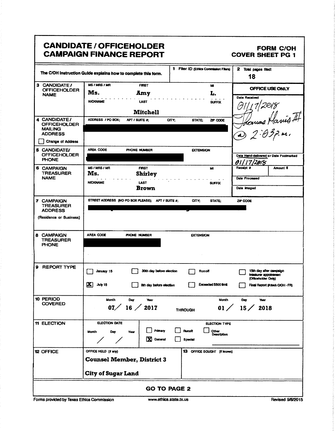### CANDIDATE / OFFICEHOLDER FORM C/OH CAMPAIGN FINANCE REPORT COVER SHEET PG 1

| <b>FORM C/OH</b><br><b>COVER SHEET PG 1</b><br>1 Filer ID (Ethics Commission Filers) 2 Total pages filed:<br>18                                                                                                                                                                                                                                                                                                                                                                                                                                                                                                                         |  |  |  |
|-----------------------------------------------------------------------------------------------------------------------------------------------------------------------------------------------------------------------------------------------------------------------------------------------------------------------------------------------------------------------------------------------------------------------------------------------------------------------------------------------------------------------------------------------------------------------------------------------------------------------------------------|--|--|--|
| <u>ی به دره در در ساعت باز برای سایت برای نیم از استفاده این تاکیل بر</u><br>OFFICE USE ONLY<br>ш.<br>Date Received<br><b>EXAMPLE 19</b><br><b>LAST</b> SUFFIX<br>NICKNAME<br>1011172018<br>$^{\prime}$                                                                                                                                                                                                                                                                                                                                                                                                                                 |  |  |  |
| <b>Mitchell</b><br>ADDRESS / PO BOX; APT / SUITE #; CITY; STATE; ZP CODE<br>- Howas Harris 4+1                                                                                                                                                                                                                                                                                                                                                                                                                                                                                                                                          |  |  |  |
| $-1022.037.41$<br>Change of Address<br>AREA CODE PHONE NUMBER<br><b>EXTENSION</b><br>Date Hand-delivered or Date Postmarked<br>01/17/2018<br>Receipt # Amount \$<br><b>FIRST</b><br><b>MI MI</b>                                                                                                                                                                                                                                                                                                                                                                                                                                        |  |  |  |
| <b>Shirley</b><br>Date Processed<br>NICKNAME LAST SUFFIX<br><b>SUFFIX</b><br>Date Imaged<br><b>Brown</b>                                                                                                                                                                                                                                                                                                                                                                                                                                                                                                                                |  |  |  |
| STREET ADDRESS (NO PO BOX PLEASE); APT / SUITE #; CITY; STATE; ZIP CODE                                                                                                                                                                                                                                                                                                                                                                                                                                                                                                                                                                 |  |  |  |
| AREA CODE PHONE NUMBER<br><b>EXTENSION</b>                                                                                                                                                                                                                                                                                                                                                                                                                                                                                                                                                                                              |  |  |  |
| January 15 30th day before election Thunoff<br>15th day after campaign<br>treasurer appointment<br>(Officeholder Only)<br>8th day before election Exceeded \$500 limit<br>$\mathbf{X}$ July 15<br>Final Report (Attach C/OH - FR)                                                                                                                                                                                                                                                                                                                                                                                                       |  |  |  |
| Month Day Year<br>07 16 2017<br>Month Day Year<br>$01/15/2018$<br><b>THROUGH</b>                                                                                                                                                                                                                                                                                                                                                                                                                                                                                                                                                        |  |  |  |
| <b>CANDIDATE / OFFICEHOLDER</b><br><b>CAMPAIGN FINANCE REPORT</b><br>The C/OH Instruction Guide explains how to complete this form.<br>3 CANDIDATE/ MS/MRS/MR FIRST<br>OFFICEHOLDER MS. Amy<br>4 CANDIDATE/<br>OFFICEHOLDER<br>MAILING<br>ADDRESS<br>5 CANDIDATE/<br>OFFICEHOLDER<br>PHONE<br>6 CAMPAIGN MS/MRS/MR<br>TREASURER MS.<br>NAME<br>7 CAMPAIGN<br>TREASURER<br>ADDRESS<br>(Residence or Business)<br>8 CAMPAIGN<br>TREASURER<br>PHONE<br>9 REPORT TYPE<br>10 PERIOD<br>COVERED<br><b>11 ELECTION</b><br>ELECTION DATE<br>ELECTION TYPE<br>Month Day Year Primary Runoff Other Description<br><b>X</b> General <b>Special</b> |  |  |  |
| 12 OFFICE<br>OFFICE HELD (if any)<br>13 OFFICE SOUGHT (if known)<br>City of Sugar Land                                                                                                                                                                                                                                                                                                                                                                                                                                                                                                                                                  |  |  |  |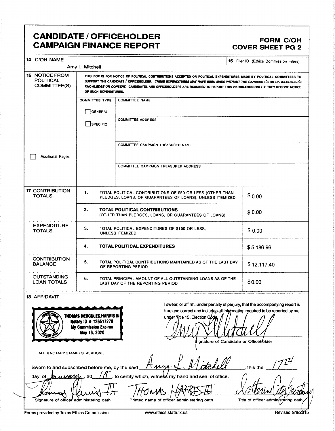## CANDIDATE / OFFICEHOLDER<br>CAMPAIGN FINANCE REPORT COVER SHEET PG 2 **CAMPAIGN FINANCE REPORT**

t

| 14 C/OH NAME                                                                     |                                                                                                               |                                                                                                                                                                                                                                                                                                                                                                         | <b>15</b> Filer ID (Ethics Commission Filers) |
|----------------------------------------------------------------------------------|---------------------------------------------------------------------------------------------------------------|-------------------------------------------------------------------------------------------------------------------------------------------------------------------------------------------------------------------------------------------------------------------------------------------------------------------------------------------------------------------------|-----------------------------------------------|
|                                                                                  | Amy L. Mitchell                                                                                               |                                                                                                                                                                                                                                                                                                                                                                         |                                               |
| <b>16 NOTICE FROM</b><br><b>POLITICAL</b><br><b>COMMITTEE(S)</b>                 | OF SUCH EXPENDITURES.                                                                                         | THIS BOX IS FOR NOTICE OF POLITICAL CONTRIBUTIONS ACCEPTED OR POLITICAL EXPENDITURES MADE BY POLITICAL COMMITTEES TO<br>SUPPORT THE CANDIDATE / OFFICEHOLDER. THESE EXPENDITURES MAY HAVE BEEN MADE WITHOUT THE CANDIDATE'S OR OFFICEHOLDER'S<br>KNOWLEDGE OR CONSENT. CANDIDATES AND OFFICEHOLDERS ARE REQUIRED TO REPORT THIS INFORMATION ONLY IF THEY RECEIVE NOTICE |                                               |
|                                                                                  | <b>COMMITTEE TYPE</b>                                                                                         | <b>COMMITTEE NAME</b>                                                                                                                                                                                                                                                                                                                                                   |                                               |
|                                                                                  | GENERAL                                                                                                       |                                                                                                                                                                                                                                                                                                                                                                         |                                               |
|                                                                                  | SPECIFIC                                                                                                      | <b>COMMITTEE ADDRESS</b>                                                                                                                                                                                                                                                                                                                                                |                                               |
|                                                                                  |                                                                                                               | COMMITTEE CAMPAIGN TREASURER NAME                                                                                                                                                                                                                                                                                                                                       |                                               |
| <b>Additional Pages</b>                                                          |                                                                                                               |                                                                                                                                                                                                                                                                                                                                                                         |                                               |
|                                                                                  |                                                                                                               | <b>COMMITTEE CAMPAIGN TREASURER ADDRESS</b>                                                                                                                                                                                                                                                                                                                             |                                               |
| <b>17 CONTRIBUTION</b><br><b>TOTALS</b>                                          | 1.                                                                                                            | TOTAL POLITICAL CONTRIBUTIONS OF \$50 OR LESS (OTHER THAN<br>PLEDGES, LOANS, OR GUARANTEES OF LOANS), UNLESS ITEMIZED                                                                                                                                                                                                                                                   | \$0.00                                        |
|                                                                                  | 2.                                                                                                            | TOTAL POLITICAL CONTRIBUTIONS<br>(OTHER THAN PLEDGES, LOANS, OR GUARANTEES OF LOANS)                                                                                                                                                                                                                                                                                    | \$0.00                                        |
| <b>EXPENDITURE</b><br><b>TOTALS</b>                                              | З.                                                                                                            | TOTAL POLITICAL EXPENDITURES OF \$100 OR LESS.<br><b>UNLESS ITEMIZED</b>                                                                                                                                                                                                                                                                                                | \$0.00                                        |
|                                                                                  | 4.                                                                                                            | <b>TOTAL POLITICAL EXPENDITURES</b>                                                                                                                                                                                                                                                                                                                                     | \$5,186.96                                    |
| <b>CONTRIBUTION</b><br><b>BALANCE</b>                                            | 5.                                                                                                            | TOTAL POLITICAL CONTRIBUTIONS MAINTAINED AS OF THE LAST DAY<br>OF REPORTING PERIOD                                                                                                                                                                                                                                                                                      | \$12,117.40                                   |
| <b>OUTSTANDING</b><br><b>LOAN TOTALS</b>                                         | 6.<br>TOTAL PRINCIPAL AMOUNT OF ALL OUTSTANDING LOANS AS OF THE<br>\$0.00<br>LAST DAY OF THE REPORTING PERIOD |                                                                                                                                                                                                                                                                                                                                                                         |                                               |
| <b>18 AFFIDAVIT</b>                                                              | T <b>homas Hercules,Harris In</b><br>Notary ID # 126517278<br><b>My Commission Expires</b><br>May 13, 2020    | I swear, or affirm, under penalty of perjury, that the accompanying report is<br>true and correct and includes all information required to be reported by me<br>under Title 15, Election Code<br>\$ignature of Candidate or Officeholder                                                                                                                                |                                               |
| AFFIX NOTARY STAMP / SEALABOVE<br>Sworn to and subscribed before me, by the said |                                                                                                               |                                                                                                                                                                                                                                                                                                                                                                         | this the                                      |
| <u>bannar</u><br>day of                                                          | 20                                                                                                            | to certify which, witness my hand and seal of office.                                                                                                                                                                                                                                                                                                                   |                                               |
| Signature of officer administering oath                                          |                                                                                                               | Printed name of officer administering oath                                                                                                                                                                                                                                                                                                                              | Title of officer administering oath           |
| Forms provided by Texas Ethics Commission                                        |                                                                                                               | www.ethics.state.tx.us                                                                                                                                                                                                                                                                                                                                                  | Revised 9/8/2015                              |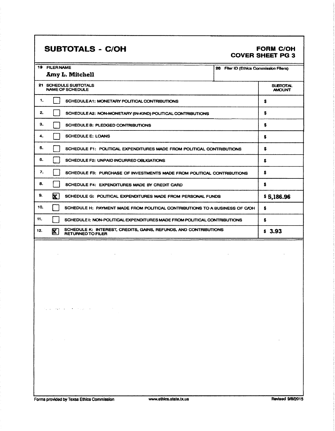## SUBTOTALS - C/OH FORM C/OH

# COVER SHEET PG 3

|     | <b>19 FILER NAME</b><br>20 Filer ID (Ethics Commission Filers)                                        |                                  |
|-----|-------------------------------------------------------------------------------------------------------|----------------------------------|
|     | <b>Amy L. Mitchell</b>                                                                                |                                  |
|     | 21 SCHEDULE SUBTOTALS<br><b>NAME OF SCHEDULE</b>                                                      | <b>SUBTOTAL</b><br><b>AMOUNT</b> |
| 1.  | SCHEDULE A1: MONETARY POLITICAL CONTRIBUTIONS                                                         | s                                |
| 2.  | SCHEDULE A2: NON-MONETARY (IN-KIND) POLITICAL CONTRIBUTIONS                                           | s                                |
| з.  | SCHEDULE B: PLEDGED CONTRIBUTIONS                                                                     | s                                |
| 4.  | <b>SCHEDULE E: LOANS</b>                                                                              | s                                |
| 5.  | SCHEDULE F1: POLITICAL EXPENDITURES MADE FROM POLITICAL CONTRIBUTIONS                                 | s                                |
| 6.  | SCHEDULE F2: UNPAID INCURRED OBLIGATIONS                                                              | \$                               |
| 7.  | SCHEDULE F3: PURCHASE OF INVESTMENTS MADE FROM POLITICAL CONTRIBUTIONS                                | s                                |
| 8.  | SCHEDULE F4: EXPENDITURES MADE BY CREDIT CARD                                                         | s                                |
| 9.  | $\mathbf{X}$<br>SCHEDULE G: POLITICAL EXPENDITURES MADE FROM PERSONAL FUNDS                           | \$5,186.96                       |
| 10. | SCHEDULE H: PAYMENT MADE FROM POLITICAL CONTRIBUTIONS TO A BUSINESS OF C/OH                           | s                                |
| 11. | SCHEDULE I: NON-POLITICAL EXPENDITURES MADE FROM POLITICAL CONTRIBUTIONS                              | s                                |
| 12. | SCHEDULE K: INTEREST, CREDITS, GAINS, REFUNDS, AND CONTRIBUTIONS<br>$\mathbf{X}$<br>RETURNED TO FILER | \$3.93                           |
|     |                                                                                                       |                                  |
|     |                                                                                                       |                                  |
|     |                                                                                                       |                                  |
|     |                                                                                                       |                                  |

 $\mathcal{O}_{\mathcal{A}}$  and the set of the set of the set of  $\mathcal{O}_{\mathcal{A}}$ 

 $\bar{\alpha}$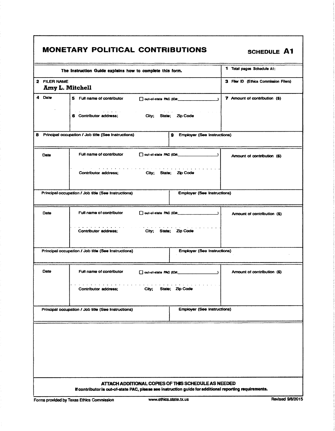|  |  | <b>MONETARY POLITICAL CONTRIBUTIONS</b> |
|--|--|-----------------------------------------|
|--|--|-----------------------------------------|

SCHEDULE A1

| The Instruction Guide explains how to complete this form.                                        | 1 Total pages Schedule A1:            |
|--------------------------------------------------------------------------------------------------|---------------------------------------|
| 2 FILER NAME<br>Amy L. Mitchell                                                                  | 3 Filer ID (Ethics Commission Filers) |
| 4<br>Date<br>5 Full name of contributor<br>out-of-state PAC (ID#:                                | 7 Amount of contribution (\$)         |
| 6 Contributor address;<br>City; State;<br><b>Zip Code</b>                                        |                                       |
| 8 Principal occupation / Job title (See Instructions)<br><b>Employer (See Instructions)</b><br>9 |                                       |
| Full name of contributor<br>out-of-state PAC (ID#:<br>$\rightarrow$<br>Date                      | Amount of contribution (\$)           |
| the second control of the second<br>Contributor address;<br>City; State; Zip Code                |                                       |
| Principal occupation / Job title (See Instructions)<br><b>Employer (See Instructions)</b>        |                                       |
| Full name of contributor<br>out-of-state PAC (ID#: 1999)<br>Date                                 | Amount of contribution (\$)           |
| Contributor address;<br>City; State; Zip Code                                                    |                                       |
| <b>Employer (See Instructions)</b><br>Principal occupation / Job title (See Instructions)        |                                       |
| Date<br>Full name of contributor                                                                 | Amount of contribution (\$)           |
| Contributor address;<br>City;<br>State; Zip Code                                                 |                                       |
| Principal occupation / Job title (See Instructions)<br><b>Employer (See Instructions)</b>        |                                       |
|                                                                                                  |                                       |
| ATTACH ADDITIONAL COPIES OF THIS SCHEDULE AS NEEDED                                              |                                       |

If contributoris out-of-state PAC, please see Instruction guide foradditional reporting requirements.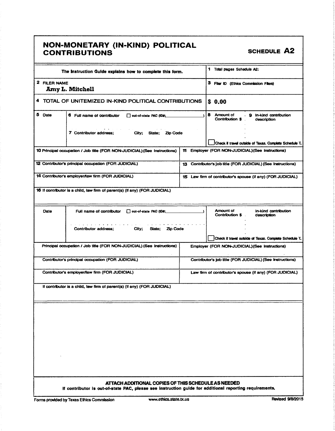### NON- MONETARY ( IN- KIND) POLITICAL CONTRIBUTIONS **SCHEDULE** A2

| The Instruction Gulde explains how to complete this form.                                                                                                      | 1 Total pages Schedule A2:                                                 |
|----------------------------------------------------------------------------------------------------------------------------------------------------------------|----------------------------------------------------------------------------|
| 2 FILER NAME<br>Amy L. Mitchell                                                                                                                                | 3 Filer ID (Ethics Commission Filers)                                      |
| 4 TOTAL OF UNITEMIZED IN-KIND POLITICAL CONTRIBUTIONS                                                                                                          | \$0.00                                                                     |
| 5 Date<br>6 Full name of contributor<br>out-of-state PAC (ID#;                                                                                                 | 8 Amount of<br>. 9 in-kind contribution<br>Contribution \$<br>description  |
| 7 Contributor address:<br>City;<br>State: Zip Code                                                                                                             | Check if travel outside of Texas. Complete Schedule T.                     |
| 10 Principal occupation / Job title (FOR NON-JUDICIAL) (See Instructions)                                                                                      | 11 Employer (FOR NON-JUDICIAL) (See Instructions)                          |
| 12 Contributor's principal occupation (FOR JUDICIAL)                                                                                                           | 13 Contributor's job title (FOR JUDICIAL) (See Instructions)               |
| 14 Contributor's employer/law firm (FOR JUDICIAL)                                                                                                              | 15 Law firm of contributor's spouse (if any) (FOR JUDICIAL)                |
| 16 If contributor is a child, law firm of parent(s) (if any) (FOR JUDICIAL)                                                                                    |                                                                            |
| Full name of contributor   out-of-state PAC (ID#;<br>Date                                                                                                      | <b>Amount of</b><br>In-kind contribution<br>Contribution \$<br>description |
| Contributor address;<br>City:<br>State; Zip Code                                                                                                               | Check if travel outside of Texas. Complete Schedule T.                     |
| Principal occupation / Job title (FOR NON-JUDICIAL) (See Instructions)                                                                                         | Employer (FOR NON-JUDICIAL) (See Instructions)                             |
| Contributor's principal occupation (FOR JUDICIAL)                                                                                                              | Contributor's job title (FOR JUDICIAL) (See Instructions)                  |
| Contributor's employer/law firm (FOR JUDICIAL)                                                                                                                 | Law firm of contributor's spouse (if any) (FOR JUDICIAL)                   |
| if contributor is a child, law firm of parent(s) (if any) (FOR JUDICIAL)                                                                                       |                                                                            |
|                                                                                                                                                                |                                                                            |
|                                                                                                                                                                |                                                                            |
|                                                                                                                                                                |                                                                            |
|                                                                                                                                                                |                                                                            |
|                                                                                                                                                                |                                                                            |
|                                                                                                                                                                |                                                                            |
| ATTACH ADDITIONAL COPIES OF THIS SCHEDULE AS NEEDED<br>If contributor is out-of-state PAC, please see instruction guide for additional reporting requirements. |                                                                            |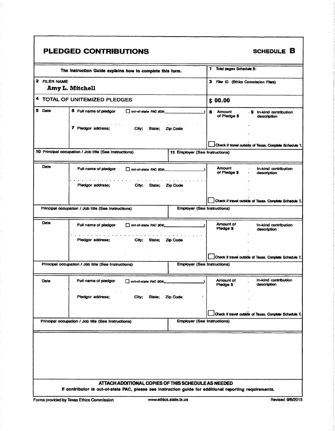|              | The instruction Guide explains how to complete this form. |                                | 1 Total pages Schedule B:             |                                                        |
|--------------|-----------------------------------------------------------|--------------------------------|---------------------------------------|--------------------------------------------------------|
| 2 FILER NAME | Amy L. Mitchell                                           |                                | 3 Filer ID (Ethics Commission Filers) |                                                        |
| 4            | TOTAL OF UNITEMIZED PLEDGES                               |                                | \$00.00                               |                                                        |
| 5 Date       | 6 Full name of pledgor<br>out-of-state PAC (ID#:          |                                | 8<br><b>Amount</b><br>of Pledge \$    | . 9 In-kind contribution<br>description                |
|              | 7 Pledgor address;<br>City;<br>State;                     | <b>Zip Code</b>                |                                       |                                                        |
|              |                                                           |                                |                                       | Check if travel outside of Texas. Complete Schedule T. |
|              | 10 Principal occupation / Job title (See Instructions)    | 11 Employer (See Instructions) |                                       |                                                        |
| Date         | Full name of pledgor<br>out-of-state PAC (ID#:            |                                | <b>Amount</b><br>of Pledge \$         | In-kind contribution<br>description                    |
|              | Pledgor address;<br>State;<br>City;                       | Zip Code                       |                                       |                                                        |
|              |                                                           |                                |                                       | Check if travel outside of Texas. Complete Schedule T. |
|              | Principal occupation / Job title (See Instructions)       |                                | <b>Employer (See Instructions)</b>    |                                                        |
| Date         | Full name of pledgor<br>out-of-state PAC (ID#             |                                | Amount of<br>Pledge \$                | In-kind contribution<br>description                    |
|              | Pledgor address;<br>City; State; Zip Code                 |                                |                                       |                                                        |
|              |                                                           |                                |                                       | Check if travel outside of Texas. Complete Schedule T. |
|              | Principal occupation / Job title (See Instructions)       |                                | <b>Employer (See Instructions)</b>    |                                                        |
| Date         | Full name of pledgor<br>out-of-state PAC (ID#;            |                                | Amount of<br>Pledge \$                | In-kind contribution<br>description                    |
|              | Pledgor address;<br>City;<br>State;                       | Zip Code                       |                                       |                                                        |
|              |                                                           |                                |                                       | Check if travel outside of Texas. Complete Schedule T. |
|              | Principal occupation / Job title (See Instructions)       |                                | <b>Employer (See Instructions)</b>    |                                                        |
|              |                                                           |                                |                                       |                                                        |
|              |                                                           |                                |                                       |                                                        |
|              |                                                           |                                |                                       |                                                        |
|              |                                                           |                                |                                       |                                                        |
|              |                                                           |                                |                                       |                                                        |

Forms provided by Texas Ethics Commission www.ethics.state.tx.us Revised 9/8/2015

ľ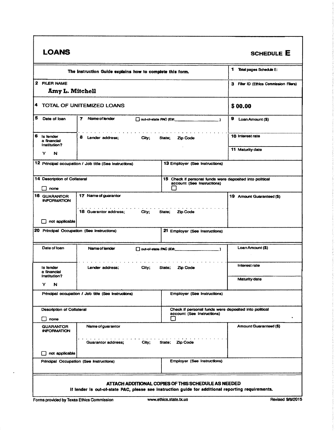| <b>LOANS</b>                                                        |                                                                                                    |                                                                                              | <b>SCHEDULE E</b>                     |  |  |
|---------------------------------------------------------------------|----------------------------------------------------------------------------------------------------|----------------------------------------------------------------------------------------------|---------------------------------------|--|--|
|                                                                     | The Instruction Guide explains how to complete this form.                                          |                                                                                              | 1 Total pages Schedule E:             |  |  |
| 2 FILER NAME<br>Amy L. Mitchell                                     |                                                                                                    |                                                                                              | 3 Filer ID (Ethics Commission Filers) |  |  |
|                                                                     | 4 TOTAL OF UNITEMIZED LOANS                                                                        |                                                                                              | \$00.00                               |  |  |
| 5<br>Date of loan                                                   | 7 Name of lender                                                                                   |                                                                                              | 9 Loan Amount (\$)                    |  |  |
| 6<br>is lender<br>a financial<br>Institution?                       | 8 Lender address; City;                                                                            | State;<br><b>Zip Code</b>                                                                    | 10 Interest rate                      |  |  |
| Y<br>N                                                              |                                                                                                    |                                                                                              | <b>11 Maturity date</b>               |  |  |
|                                                                     | 12 Principal occupation / Job title (See Instructions)                                             | 13 Employer (See Instructions)                                                               |                                       |  |  |
| 14 Description of Collateral<br>none                                |                                                                                                    | 15 Check if personal funds were deposited into political<br>account (See Instructions)<br>ιı |                                       |  |  |
| 16 GUARANTOR<br><b>INFORMATION</b>                                  | 17 Name of guarantor                                                                               |                                                                                              | 19 Amount Guaranteed (\$)             |  |  |
|                                                                     | <b>18 Guarantor address:</b><br>City;                                                              | State;<br>Zip Code                                                                           |                                       |  |  |
| not applicable<br>l 1<br>20 Principal Occupation (See Instructions) |                                                                                                    | 21 Employer (See Instructions)                                                               |                                       |  |  |
|                                                                     |                                                                                                    |                                                                                              |                                       |  |  |
| Date of Ioan                                                        | Name of lender                                                                                     |                                                                                              | Loan Amount (\$)                      |  |  |
| Is lender<br>a financial<br>Institution?                            | Lender address:<br>City;                                                                           | Zip Code<br>State;                                                                           | <b>Interest rate</b>                  |  |  |
| N<br>Y.                                                             |                                                                                                    |                                                                                              | <b>Maturity date</b>                  |  |  |
|                                                                     | Principal occupation / Job title (See Instructions)                                                | <b>Employer (See Instructions)</b>                                                           |                                       |  |  |
| Description of Collateral                                           |                                                                                                    | Check if personal funds were deposited into political<br>account (See Instructions)          |                                       |  |  |
| $\Box$<br>none                                                      |                                                                                                    | $\mathbf{L}$                                                                                 |                                       |  |  |
| <b>GUARANTOR</b><br><b>INFORMATION</b>                              | Name of guarantor                                                                                  |                                                                                              | Amount Guaranteed (\$)                |  |  |
|                                                                     | <b>Guarantor address:</b><br>City;                                                                 | State; Zip Code                                                                              |                                       |  |  |
| not applicable                                                      |                                                                                                    |                                                                                              |                                       |  |  |
|                                                                     | <b>Employer (See Instructions)</b><br>Principal Occupation (See Instructions)                      |                                                                                              |                                       |  |  |
|                                                                     | If lender is out-of-state PAC, please see instruction guide for additional reporting requirements. | ATTACH ADDITIONAL COPIES OF THIS SCHEDULE AS NEEDED                                          |                                       |  |  |

 $\ddot{\phantom{0}}$ 

Г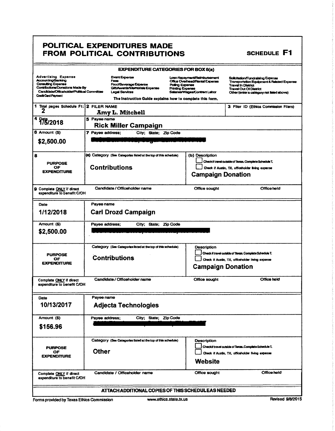### POLITICAL EXPENDITURES MADE FROM POLITICAL CONTRIBUTIONS

|                                                                                                                                                                                              |                  | <b>EXPENDITURE CATEGORIES FOR BOX 8(a)</b>                                                                                                                                   |                                            |                                                                                                 |                                                                                                                                                                                                      |
|----------------------------------------------------------------------------------------------------------------------------------------------------------------------------------------------|------------------|------------------------------------------------------------------------------------------------------------------------------------------------------------------------------|--------------------------------------------|-------------------------------------------------------------------------------------------------|------------------------------------------------------------------------------------------------------------------------------------------------------------------------------------------------------|
| <b>Advertising Expense</b><br><b>Accounting/Banking</b><br><b>Consulting Expense</b><br>Contributions/Donations Made By<br>Candidate/Officeholden/Political Committee<br>Credit Card Payment |                  | <b>Event Expense</b><br>Fees<br>Food/Beverage Experce<br>Gilt/Awards/Memorials Expense<br><b>Legal Services</b><br>The instruction Guide explains how to complete this form. | Polling Expense<br><b>Printing Expense</b> | Loan Repayment/Reimbursement<br>Office Overhead/Rental Expense<br>Salaries/Wages/Contract Labor | Solicitation/Fundralsing Expense<br><b>Transportation Equipment &amp; Related Expense</b><br><b>Travel In District</b><br><b>Travel Out Of District</b><br>Other (enter a category not listed above) |
| 1 Total pages Schedule F1:12 FILER NAME<br>2                                                                                                                                                 |                  | <b>Amy L. Mitchell</b>                                                                                                                                                       |                                            |                                                                                                 | 3 Filer ID (Ethics Commission Filers)                                                                                                                                                                |
| 4 7/5/2018                                                                                                                                                                                   | 5 Payee name     | <b>Rick Miller Campaign</b>                                                                                                                                                  |                                            |                                                                                                 |                                                                                                                                                                                                      |
| 6 Amount (\$)<br>\$2,500.00                                                                                                                                                                  | 7 Payee address; | City: State: Zip Code                                                                                                                                                        |                                            |                                                                                                 |                                                                                                                                                                                                      |
| 8<br><b>PURPOSE</b><br>OF<br><b>EXPENDITURE</b>                                                                                                                                              |                  | (a) Category (See Categories listed at the top of this schedule)<br><b>Contributions</b>                                                                                     |                                            | (b) Description<br><b>Campaign Donation</b>                                                     | Check if travel outside of Texas, Complete Schedule T,<br>Check if Austin, TX, officeholder living expense                                                                                           |
| <b>9 Complete ONLY</b> if direct<br>expenditure to benefit C/OH                                                                                                                              |                  | Candidate / Officeholder name                                                                                                                                                |                                            | Office sought                                                                                   | Office held                                                                                                                                                                                          |
| Date<br>1/12/2018                                                                                                                                                                            | Payee name       | <b>Carl Drozd Campaign</b>                                                                                                                                                   |                                            |                                                                                                 |                                                                                                                                                                                                      |
| Amount (\$)<br>\$2,500.00                                                                                                                                                                    | Payee address;   | City; State; Zip Code                                                                                                                                                        |                                            |                                                                                                 |                                                                                                                                                                                                      |
| <b>PURPOSE</b><br>OF<br><b>EXPENDITURE</b>                                                                                                                                                   |                  | Category (See Categories listed at the top of this schedule)<br><b>Contributions</b>                                                                                         |                                            | Description<br><b>Campaign Donation</b>                                                         | Check if travel outside of Texas. Complete Schedule T.<br>Check if Austin, TX, officeholder living expense                                                                                           |
| Complete ONLY if direct<br>expenditure to benefit C/OH                                                                                                                                       |                  | Candidate / Officeholder name                                                                                                                                                |                                            | Office sought                                                                                   | Office held                                                                                                                                                                                          |
| Date<br>10/13/2017                                                                                                                                                                           | Payee name       | <b>Adjecta Technologies</b>                                                                                                                                                  |                                            |                                                                                                 |                                                                                                                                                                                                      |
| Amount (\$)<br>City; State; Zip Code<br>Payee address;<br>\$156.96                                                                                                                           |                  |                                                                                                                                                                              |                                            |                                                                                                 |                                                                                                                                                                                                      |
| <b>PURPOSE</b><br>ОF<br><b>EXPENDITURE</b>                                                                                                                                                   | <b>Other</b>     | Category (See Categories listed at the top of this schedule)                                                                                                                 |                                            | Description<br><b>Website</b>                                                                   | Checkif travel outside of Texas, Complete Schedule T,<br>Check if Austin, TX, officeholder living expense                                                                                            |
| Complete ONLY if direct<br>expenditure to benefit C/OH                                                                                                                                       |                  | Candidate / Officeholder name                                                                                                                                                |                                            | Office sought                                                                                   | Office held                                                                                                                                                                                          |
| ATTACH ADDITIONAL COPIES OF THIS SCHEDULEAS NEEDED                                                                                                                                           |                  |                                                                                                                                                                              |                                            |                                                                                                 |                                                                                                                                                                                                      |

SCHEDULE F1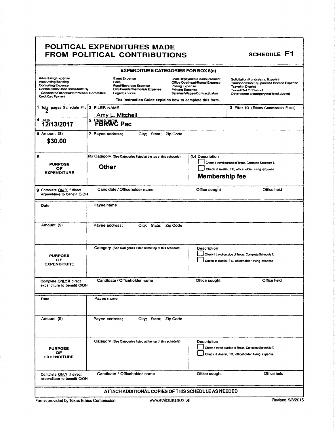### POLITICAL EXPENDITURES MADE FROM POLITICAL CONTRIBUTIONS SCHEDULE F1

| <b>EXPENDITURE CATEGORIES FOR BOX 8(a)</b>                                                                                                                                            |                                                                                                                                                                       |                                                                                                                                               |                                                                                                                                                                                                      |  |
|---------------------------------------------------------------------------------------------------------------------------------------------------------------------------------------|-----------------------------------------------------------------------------------------------------------------------------------------------------------------------|-----------------------------------------------------------------------------------------------------------------------------------------------|------------------------------------------------------------------------------------------------------------------------------------------------------------------------------------------------------|--|
| <b>Advertising Expense</b><br>Accounting/Banking<br><b>Consulting Expense</b><br>Contributions/Donations Made By<br>Candidate/Officeholder/Political Committee<br>Credit Card Payment | <b>Event Expense</b><br>Fees<br>Food/Beverage Expense<br>Gift/Awards/Memorials Expense<br>Legal Services<br>The Instruction Guide explains how to complete this form. | Loan Repayment/Reimbursement<br>Office Overhead/Rental Expense<br>Polling Expense<br><b>Printing Expense</b><br>Salaries/Wages/Contract Labor | Solicitation/Fundraising Expense<br><b>Transportation Equipment &amp; Related Expense</b><br><b>Travel In District</b><br><b>Travel Out Of District</b><br>Other (enter a category not listed above) |  |
| 1 Total pages Schedule F1:                                                                                                                                                            | 2 FILER NAME                                                                                                                                                          |                                                                                                                                               | 3 Filer ID (Ethics Commission Filers)                                                                                                                                                                |  |
| 4 Date                                                                                                                                                                                | <u>Amv L. Mitchell</u>                                                                                                                                                |                                                                                                                                               |                                                                                                                                                                                                      |  |
| 12/13/2017                                                                                                                                                                            | <sup>5</sup> FBRWC Pac                                                                                                                                                |                                                                                                                                               |                                                                                                                                                                                                      |  |
| 6 Amount (S)<br>\$30.00                                                                                                                                                               | 7 Payee address;<br>City; State; Zip Code                                                                                                                             |                                                                                                                                               |                                                                                                                                                                                                      |  |
| 8                                                                                                                                                                                     | (a) Category (See Categories listed at the top of this schedule)                                                                                                      | (b) Description                                                                                                                               |                                                                                                                                                                                                      |  |
| <b>PURPOSE</b>                                                                                                                                                                        | <b>Other</b>                                                                                                                                                          |                                                                                                                                               | Check if travel outside of Texas. Complete Schedule T.                                                                                                                                               |  |
| OF<br><b>EXPENDITURE</b>                                                                                                                                                              |                                                                                                                                                                       |                                                                                                                                               | Check if Austin, TX, officeholder living expense                                                                                                                                                     |  |
|                                                                                                                                                                                       |                                                                                                                                                                       | <b>Membership fee</b>                                                                                                                         |                                                                                                                                                                                                      |  |
| 9 Complete ONLY if direct<br>expenditure to benefit C/OH                                                                                                                              | Candidate / Officeholder name                                                                                                                                         | Office sought                                                                                                                                 | Office held                                                                                                                                                                                          |  |
| Date                                                                                                                                                                                  | Payee name                                                                                                                                                            |                                                                                                                                               |                                                                                                                                                                                                      |  |
|                                                                                                                                                                                       |                                                                                                                                                                       |                                                                                                                                               |                                                                                                                                                                                                      |  |
| Amount (S)                                                                                                                                                                            | Payee address;<br>City; State; Zip Code                                                                                                                               |                                                                                                                                               |                                                                                                                                                                                                      |  |
| <b>PURPOSE</b><br>ОF<br><b>EXPENDITURE</b>                                                                                                                                            | Category (See Categories listed at the top of this schedule)                                                                                                          | Description                                                                                                                                   | Check if travel outside of Texas. Complete Schedule T.<br>Check if Austin, TX, officeholder living expense                                                                                           |  |
| Complete ONLY if direct<br>expenditure to benefit C/OH                                                                                                                                | Candidate / Officeholder name                                                                                                                                         | Office sought                                                                                                                                 | Office held                                                                                                                                                                                          |  |
| Date                                                                                                                                                                                  | Payee name                                                                                                                                                            |                                                                                                                                               |                                                                                                                                                                                                      |  |
|                                                                                                                                                                                       |                                                                                                                                                                       |                                                                                                                                               |                                                                                                                                                                                                      |  |
| Amount (\$)                                                                                                                                                                           | Payee address;<br>City; State; Zip Code                                                                                                                               |                                                                                                                                               |                                                                                                                                                                                                      |  |
| <b>PURPOSE</b><br>ОF<br><b>EXPENDITURE</b>                                                                                                                                            | Category (See Categories listed at the top of this schedule)                                                                                                          | Description                                                                                                                                   | Check if travel outside of Texas. Complete Schedule T.<br>Check if Austin, TX, officeholder living expense                                                                                           |  |
| Complete ONLY if direct<br>expenditure to benefit C/OH                                                                                                                                | Candidate / Officeholder name                                                                                                                                         | Office sought                                                                                                                                 | Office held                                                                                                                                                                                          |  |
| ATTACH ADDITIONAL COPIES OF THIS SCHEDULE AS NEEDED                                                                                                                                   |                                                                                                                                                                       |                                                                                                                                               |                                                                                                                                                                                                      |  |

ı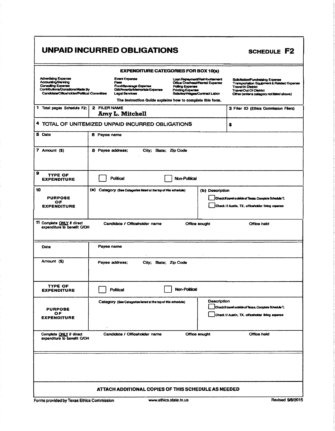### UNPAID INCURRED OBLIGATIONS

### **EXPENDITURE CATEGORIES FOR BOX 10(a) Advertising Expense**<br>Accounting/Banking Luan Repayment/Reimbursement<br>Office Overhaad/Rental Expense Event Expense Solicitation/Fundraising Expense Commission of a strategy contract of President Experience<br>Transportation Equipment & Related Experience Fe Consulting Expense<br>Contributions/Donations Made By Food/Beverage Expertse<br>Gift/Awards/Memorlais Expense Polling Expense Travel Out Of District<br>Travel Out Of District<br>Other (enter a category not listed above) Printing Expense<br>Salaries/Wages/Contract Labor Candidate/Officeholder/Political Committee **Legal Services** The instruction Guide explains how to complete this form. 1 Total pages Schedule F2: 2 FILER NAME 3 Filer ID (Ethics Commission Filers) Amy L. Mitchell 4 TOTAL OF UNITEMIZED UNPAID INCURRED OBLIGATIONS \$ 5 Date 6 Payee name 7 Amount (\$) 8 Payee address; City; State; Zip Code  $\Omega$ **TYPE OF** Political Non-Political **EXPENDITURE** 10 (a) Category (See Categories listed at the top of this schedule) (b) Description **PURPOSE** Checkit travel outside of Texas. Complete Schedule T. OF<br>EXPENDITURE Check if Austin, TX, officeholder living expense 11 Complete ONLY if direct<br>expenditure to benefit C/OH Candidate / Officeholder name Office sought Office held Payee name Date Amount (\$) Pavee address: City; State; Zip Code **TYPE OF** Non-Political **EXPENDITURE** Political **Description** Category (See Categories listed at the top of this schedule) Check it travel outside of Texas. Complete Schedule T. **PURPOSE** OF<br>EXPENDITURE Check if Austin, TX, officeholder living expense Complete <u>ONLY</u> if direct<br>expenditure to benefit C/OH Office sought Candidate / Officeholder name Office held ATTACH ADDITIONAL COPIES OF THIS SCHEDULE AS NEEDED

Forms provided by Texas Ethics Commission

**SCHEDULE F2**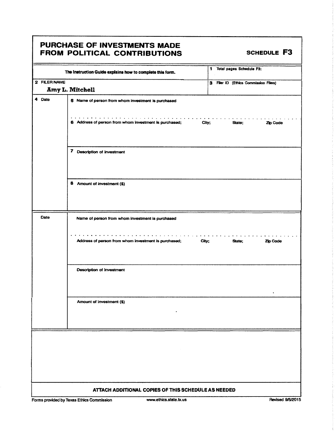### PURCHASE OF INVESTMENTS MADE FROM POLITICAL CONTRIBUTIONS SCHEDULE F3

|              | The Instruction Guide explains how to complete this form.            | 1 Total pages Schedule F3:            |
|--------------|----------------------------------------------------------------------|---------------------------------------|
| 2 FILER NAME |                                                                      |                                       |
|              | Amy L. Mitchell                                                      | 3 Filer ID (Ethics Commission Filers) |
|              |                                                                      |                                       |
| 4 Date       | 5 Name of person from whom investment is purchased                   |                                       |
|              | .<br>6 Address of person from whom investment is purchased;<br>City; | State:<br>Zip Code                    |
|              | 7 Description of investment                                          |                                       |
|              | 8 Amount of investment (\$)                                          |                                       |
| <b>Date</b>  | Name of person from whom investment is purchased                     |                                       |
|              | Address of person from whom investment is purchased;<br>City;        | State;<br>Zio Code                    |
|              | Description of investment                                            |                                       |
|              | Amount of investment (\$)                                            |                                       |
|              |                                                                      |                                       |
|              | ATTACH ADDITIONAL COPIES OF THIS SCHEDULE AS NEEDED                  |                                       |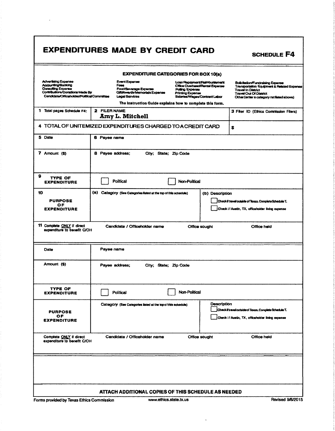## EXPENDITURES MADE BY CREDIT CARD SCHEDULE F4

EXPENDITURE CATEGORIES FOR BOX 10(a) Advertising Expense and Expense Event Expense Loan Repayment/Reimtursement Solicitation/Fundraising Expanse<br>Association Solicitus Event Expense Loan Repayment/Reimburgement Solicitation/Fundralsing Expense<br>Aces Office Overhead/Rental Expense Transportation Equipment & Related Expense<br>RetMww.rds/Memorials Expense Printing Expense Travel In Ustrict<br>Gil Advertising Expense<br>Accounting/Banking<br>Consulting Expense<br>Contributions/Donations Made By Event Expense<br>Fees<br>Foccl⁄Beverage Expense<br>Gilt/Awards/Memorials Expense<br>Legal Services Expense Polling Expense Travel In District Travel Out Of District<br>Printing Expense Travel Out Of District<br>Salaries/Wages/Contract Labor Cither (enter a category not listed above) Candidate/Officeholder/Polltical Committee The Instruction Guide explains how to complete this form. 1 Total pages Schedule F4: 2 FILER NAME 3 Filer ID (Ethics Commission Filers) Amy L. Mitchell 4 TOTAL OF UNITEMIZED EXPENDITURES CHARGED TO A CREDIT CARD  $\left| \right.$ 5 Date 6 Payee name 7 Amount (\$) 8 Payee address; City; State; Zip Code 9 TYPE OF EXPENDITURE | Political Political | Non-Political 10 **a)** Category (See Categories listed at the top of this schedule) (b) Description PURPOSE **Chedite Chedual Chedite Chedual Chedite Chedual Chedite Conpiete Schedule T.** OF<br>EXPENDITURE Check I f Austin, TX, officeholder living expense 11 Complete ONLY if direct Candidate / Officeholder name Office sought Office held expenditure to benefit C/OH Date **Payee name** Amount (\$) Payee address; City; State; Zip Code **TYPE OF<br>EXPENDITURE** TYPE OF Political Non-Political Non-Political Category (See Categories listed at the top of this schedule) Description PURPOSE **OCHEC** OCHEC OCHEC OCHEC OCHEC OCHEC OCHEC OCHEC OCHEC OCHEC OCHEC OCHEC OCHEC OCHEC OCHEC OCHEC OCHEC OCHEC OCHEC OCHEC OCHEC OCHEC OCHEC OCHEC OCHEC OCHEC OCHEC OCHEC OCHEC OCHEC OCHEC OCHEC OCHEC OCHEC OCHEC OC OF **EXPENDITURE** Check If Austin, TX, officeholder living expense Candidate / Officeholder name **Office sought Office held** Office held Complete ONLY if direct<br>expenditure to benefit C/OH

### ATTACH ADDITIONAL COPIES OF THIS SCHEDULE AS NEEDED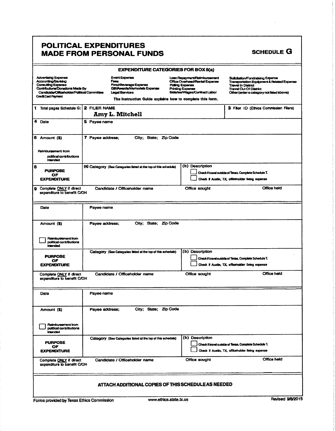### POLITICAL EXPENDITURES **MADE FROM PERSONAL FUNDS**

| <b>EXPENDITURE CATEGORIES FOR BOX 8(a)</b>                                                                                                                                     |                                                     |                                                                                                                                                                                    |                                            |                                                                                                 |                                                                                                                                             |                                                       |
|--------------------------------------------------------------------------------------------------------------------------------------------------------------------------------|-----------------------------------------------------|------------------------------------------------------------------------------------------------------------------------------------------------------------------------------------|--------------------------------------------|-------------------------------------------------------------------------------------------------|---------------------------------------------------------------------------------------------------------------------------------------------|-------------------------------------------------------|
| <b>Advertising Expense</b><br>Accounting/Banking<br>Consulting Expense<br>Contributions/Donations Made By<br>Candidate/Officeholder/Political Committee<br>Credit Card Payment |                                                     | <b>Event Expense</b><br>Foos<br>Food/Beverage Expense<br><b>Git/Awards/Memorials Expense</b><br><b>Legal Services</b><br>The instruction Guide explains how to complete this form. | Polling Expense<br><b>Printing Expense</b> | Loan Repayment/Reimbursement<br>Office Overhead/Rental Expense<br>Salaries/Wages/Contract Labor | Solicitation/Fundraising Expense<br><b>Travel In District</b><br><b>Travel Out Of District</b><br>Other (enter a category not listed above) | <b>Transportation Equipment &amp; Related Expense</b> |
| 1 Total pages Schedule G:                                                                                                                                                      | 2 FILER NAME                                        | <b>Amy L. Mitchell</b>                                                                                                                                                             |                                            |                                                                                                 | 3 Filer ID (Ethics Commission Filers)                                                                                                       |                                                       |
| 4 Date                                                                                                                                                                         | 5 Payee name                                        |                                                                                                                                                                                    |                                            |                                                                                                 |                                                                                                                                             |                                                       |
| 5 Amount (\$)                                                                                                                                                                  | 7 Payee address;                                    | City; State; Zip Code                                                                                                                                                              |                                            |                                                                                                 |                                                                                                                                             |                                                       |
| Reimbursement from<br>political contributions<br>intended                                                                                                                      |                                                     |                                                                                                                                                                                    |                                            |                                                                                                 |                                                                                                                                             |                                                       |
| в<br><b>PURPOSE</b><br>OF<br><b>EXPENDITURE</b>                                                                                                                                |                                                     | (a) Category (See Categories listed at the top of this schedule)                                                                                                                   |                                            | (b) Description                                                                                 | Check if travel outside of Texas. Complete Schedule T.<br>Check if Austin, TX, officeholder living expense                                  |                                                       |
| Complete ONLY if direct<br>a<br>expenditure to benefit C/OH                                                                                                                    |                                                     | Candidate / Officeholder name                                                                                                                                                      |                                            | Office sought                                                                                   |                                                                                                                                             | <b>Office held</b>                                    |
| Date                                                                                                                                                                           | Payee name                                          |                                                                                                                                                                                    |                                            |                                                                                                 |                                                                                                                                             |                                                       |
| Amount (\$)                                                                                                                                                                    | Payee address;                                      | City; State;                                                                                                                                                                       | Zip Code                                   |                                                                                                 |                                                                                                                                             |                                                       |
| Reimbursement from<br>political contributions<br>intended                                                                                                                      |                                                     |                                                                                                                                                                                    |                                            |                                                                                                 |                                                                                                                                             |                                                       |
| <b>PURPOSE</b><br>ОF<br><b>EXPENDITURE</b>                                                                                                                                     |                                                     | Category (See Categories listed at the top of this schedule)                                                                                                                       |                                            | (b) Description                                                                                 | Check if travel outside of Texas, Complete Schedule T.<br>Check if Austin, TX, officeholder living expense                                  |                                                       |
| Complete ONLY if direct<br>expenditure to benefit C/OH                                                                                                                         |                                                     | Candidate / Officeholder name                                                                                                                                                      |                                            | Office sought                                                                                   |                                                                                                                                             | Office held                                           |
| Date                                                                                                                                                                           | Payee name                                          |                                                                                                                                                                                    |                                            |                                                                                                 |                                                                                                                                             |                                                       |
| Amount (\$)                                                                                                                                                                    | Payee address;                                      | City; State; Zip Code                                                                                                                                                              |                                            |                                                                                                 |                                                                                                                                             |                                                       |
| Reimbursement from<br>political contributions<br><b>intended</b>                                                                                                               |                                                     |                                                                                                                                                                                    |                                            |                                                                                                 |                                                                                                                                             |                                                       |
| <b>PURPOSE</b><br>ОF<br><b>EXPENDITURE</b>                                                                                                                                     |                                                     | Category (See Categories listed at the top of this schedule)                                                                                                                       |                                            | (b) Description                                                                                 | Check if travel outside of Texas. Complete Schedule T.<br>Check if Austin, TX, officeholder living expense                                  |                                                       |
| Complete ONLY if direct<br>expenditure to benefit C/OH                                                                                                                         |                                                     | Candidate / Officeholder name                                                                                                                                                      |                                            | Office sought                                                                                   |                                                                                                                                             | Office held                                           |
|                                                                                                                                                                                | ATTACH ADDITIONAL COPIES OF THIS SCHEDULE AS NEEDED |                                                                                                                                                                                    |                                            |                                                                                                 |                                                                                                                                             |                                                       |
|                                                                                                                                                                                |                                                     |                                                                                                                                                                                    |                                            |                                                                                                 |                                                                                                                                             |                                                       |

Forms provided by Texas Ethics Commission

**SCHEDULE G**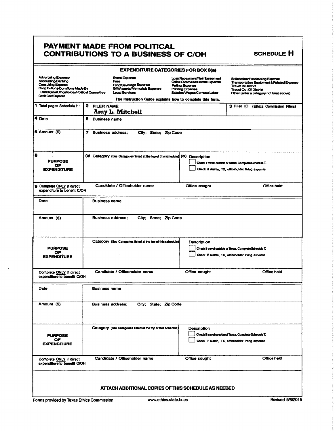### PAYMENT MADE FROM POLITICAL **CONTRIBUTIONS TO A BUSINESS OF C/OH**

| <b>EXPENDITURE CATEGORIES FOR BOX 8(a)</b>                                                                                                                                            |                               |                                                                                                                                                                                     |                                                                                                                                                                                           |                                                                                                            |  |
|---------------------------------------------------------------------------------------------------------------------------------------------------------------------------------------|-------------------------------|-------------------------------------------------------------------------------------------------------------------------------------------------------------------------------------|-------------------------------------------------------------------------------------------------------------------------------------------------------------------------------------------|------------------------------------------------------------------------------------------------------------|--|
| <b>Advertising Expense</b><br>Accounting/Banking<br>Consulting Expense<br>Contributions/Donations Made By<br>Candidate/Officeholder/Political Committee<br><b>Credit Card Payment</b> |                               | <b>Event Expense</b><br>Fees<br>Food/Beverage Expense<br><b>Gilt/Awards/Memorials Expense</b><br><b>Leoal Services</b><br>The instruction Guide explains how to complete this form. | Solicitation/Fundraising Expense<br>Transportation Equipment & Related Expense<br><b>Travel In District</b><br><b>Travel Out Of District</b><br>Other (enter a category not listed above) |                                                                                                            |  |
| 1 Total pages Schedule H:                                                                                                                                                             | 2 FILER NAME                  | <b>Amy L. Mitchell</b>                                                                                                                                                              |                                                                                                                                                                                           | 3 Filer ID (Ethics Commission Filers)                                                                      |  |
| 4 Date                                                                                                                                                                                | 5<br><b>Business name</b>     |                                                                                                                                                                                     |                                                                                                                                                                                           |                                                                                                            |  |
| 6 Amount (\$)                                                                                                                                                                         | 7<br><b>Business address:</b> | City; State; Zip Code                                                                                                                                                               |                                                                                                                                                                                           |                                                                                                            |  |
| 8<br><b>PURPOSE</b><br>OF<br><b>EXPENDITURE</b>                                                                                                                                       |                               | (a) Category (See Categories listed at the top of this schedule) (b) Description                                                                                                    |                                                                                                                                                                                           | Check if travel outside of Texas. Complete Schedule T.<br>Check if Austin, TX, officeholder living expense |  |
| 9 Complete ONLY if direct<br>expenditure to benefit C/OH                                                                                                                              |                               | Candidate / Officeholder name                                                                                                                                                       | Office sought                                                                                                                                                                             | Office held                                                                                                |  |
| Date                                                                                                                                                                                  | <b>Business name</b>          |                                                                                                                                                                                     |                                                                                                                                                                                           |                                                                                                            |  |
| Amount (\$)                                                                                                                                                                           |                               | <b>Business address;</b><br>City; State; Zip Code                                                                                                                                   |                                                                                                                                                                                           |                                                                                                            |  |
| <b>PURPOSE</b><br>ОF<br><b>EXPENDITURE</b>                                                                                                                                            |                               | Category (See Categories listed at the top of this schedule).                                                                                                                       | Description                                                                                                                                                                               | Check if travel outside of Texas. Complete Schedule T.<br>Check if Austin, TX, officeholder living expense |  |
| Candidate / Officeholder name<br>Office sought<br>Office held<br>Complete ONLY if direct<br>expenditure to benefit C/OH                                                               |                               |                                                                                                                                                                                     |                                                                                                                                                                                           |                                                                                                            |  |
| Date                                                                                                                                                                                  | <b>Business name</b>          |                                                                                                                                                                                     |                                                                                                                                                                                           |                                                                                                            |  |
| Amount (\$)                                                                                                                                                                           | <b>Business address;</b>      | City; State; Zip Code                                                                                                                                                               |                                                                                                                                                                                           |                                                                                                            |  |
| <b>PURPOSE</b><br>OF.<br><b>EXPENDITURE</b>                                                                                                                                           |                               | Category (See Categories listed at the top of this schedule)                                                                                                                        | Description                                                                                                                                                                               | Check if travel outside of Texas. Complete Schedule T.<br>Check if Austin, TX, officeholder living expense |  |
| Complete ONLY if direct<br>expenditure to benefit C/OH                                                                                                                                |                               | Candidate / Officeholder name                                                                                                                                                       | Office sought                                                                                                                                                                             | Office held                                                                                                |  |
| ATTACH ADDITIONAL COPIES OF THIS SCHEDULE AS NEEDED                                                                                                                                   |                               |                                                                                                                                                                                     |                                                                                                                                                                                           |                                                                                                            |  |

 $\cdot$ 

SCHEDULE H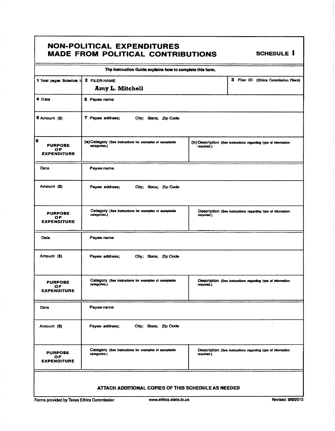### **NON-POLITICAL EXPENDITURES** MADE FROM POLITICAL CONTRIBUTIONS SCHEDULE I

| The Instruction Guide explains how to complete this form. |                                                                           |                                                                               |  |  |  |  |
|-----------------------------------------------------------|---------------------------------------------------------------------------|-------------------------------------------------------------------------------|--|--|--|--|
| 1 Total pages Schedule I:                                 | 2 FILER NAME<br>Amy L. Mitchell                                           | з<br>Filer ID (Ethics Commission Filers)                                      |  |  |  |  |
| 4 Date                                                    | 5 Payee name                                                              |                                                                               |  |  |  |  |
| 6 Amount (\$)                                             | 7 Payee address;<br>City; State; Zip Code                                 |                                                                               |  |  |  |  |
| 8<br><b>PURPOSE</b><br>ОF<br><b>EXPENDITURE</b>           | (a) Category (See instructions for examples of acceptable<br>categories.) | (b) Description (See instructions regarding type of information<br>required.) |  |  |  |  |
| Date                                                      | Payee name                                                                |                                                                               |  |  |  |  |
| Amount (\$)                                               | Payee address;<br>City; State; Zip Code                                   |                                                                               |  |  |  |  |
| <b>PURPOSE</b><br>ОF<br><b>EXPENDITURE</b>                | Category (See instructions for examples of acceptable<br>categories.)     | Description (See instructions regarding type of information<br>required.)     |  |  |  |  |
| Date                                                      | Payee name                                                                |                                                                               |  |  |  |  |
| Amount (\$)                                               | Payee address;<br>City; State; Zip Code                                   |                                                                               |  |  |  |  |
| <b>PURPOSE</b><br>ОF<br><b>EXPENDITURE</b>                | Category (See instructions for examples of acceptable<br>categories.)     | Description (See instructions regarding type of information<br>required.)     |  |  |  |  |
| Date                                                      | Payee name                                                                |                                                                               |  |  |  |  |
| Amount (\$)                                               | Payee address;<br>City; State; Zip Code                                   |                                                                               |  |  |  |  |
| <b>PURPOSE</b><br>OF.<br><b>EXPENDITURE</b>               | Category (See instructions for examples of acceptable<br>categories.)     | Description (See instructions regarding type of information<br>required.)     |  |  |  |  |
| ATTACH ADDITIONAL COPIES OF THIS SCHEDULE AS NEEDED       |                                                                           |                                                                               |  |  |  |  |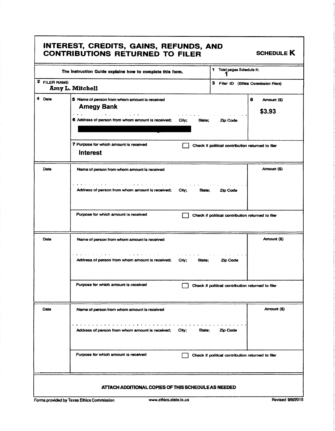| 1<br>Total pages Schedule K:<br>The Instruction Guide explains how to complete this form. |                                                                      |                                                   |                            |  |  |
|-------------------------------------------------------------------------------------------|----------------------------------------------------------------------|---------------------------------------------------|----------------------------|--|--|
| 2 FILER NAME<br>Amy L. Mitchell                                                           |                                                                      | 3 Filer ID (Ethics Commission Filers)             |                            |  |  |
| 4 Date                                                                                    | 5 Name of person from whom amount is received<br><b>Amegy Bank</b>   |                                                   | 8<br>Amount (\$)<br>\$3.93 |  |  |
|                                                                                           | 6 Address of person from whom amount is received;<br>City;<br>State; |                                                   |                            |  |  |
|                                                                                           | 7 Purpose for which amount is received<br><b>Interest</b>            | Check if political contribution returned to filer |                            |  |  |
| Date                                                                                      | Name of person from whom amount is received                          |                                                   | Amount (\$)                |  |  |
|                                                                                           | Address of person from whom amount is received;<br>City;<br>State;   | Zip Code                                          |                            |  |  |
|                                                                                           | Purpose for which amount is received                                 | Check if political contribution returned to filer |                            |  |  |
| Date                                                                                      | Name of person from whom amount is received                          |                                                   | Amount (\$)                |  |  |
|                                                                                           | Address of person from whom amount is received;<br>City;<br>State:   | Zip Code                                          |                            |  |  |
|                                                                                           | Purpose for which amount is received                                 | Check if political contribution returned to filer |                            |  |  |
| Date                                                                                      | Name of person from whom amount is received                          |                                                   | Amount (\$)                |  |  |
|                                                                                           | Address of person from whom amount is received;<br>City;<br>State:   | Zio Code                                          |                            |  |  |
|                                                                                           | Purpose for which amount is received                                 | Check if political contribution returned to filer |                            |  |  |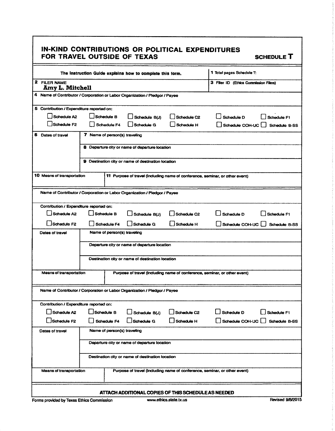| IN-KIND CONTRIBUTIONS OR POLITICAL EXPENDITURES<br>FOR TRAVEL OUTSIDE OF TEXAS<br><b>SCHEDULE T</b>         |                                                                             |            |                                                    |                                       |                                                                              |             |  |
|-------------------------------------------------------------------------------------------------------------|-----------------------------------------------------------------------------|------------|----------------------------------------------------|---------------------------------------|------------------------------------------------------------------------------|-------------|--|
| The Instruction Guide explains how to complete this form.                                                   |                                                                             |            |                                                    |                                       | 1 Total pages Schedule T:                                                    |             |  |
| 2 FILER NAME<br>Amy L. Mitchell                                                                             |                                                                             |            |                                                    | 3 Filer ID (Ethics Commission Filers) |                                                                              |             |  |
|                                                                                                             | 4 Name of Contributor / Corporation or Labor Organization / Pledgor / Payee |            |                                                    |                                       |                                                                              |             |  |
| 5 Contribution / Expenditure reported on:                                                                   |                                                                             |            |                                                    |                                       |                                                                              |             |  |
| Schedule A2                                                                                                 |                                                                             | Schedule B | Schedule B(J)                                      | Schedule C2                           | Schedule D                                                                   | Schedule F1 |  |
| Schedule F <sub>2</sub>                                                                                     | Schedule F4<br>Schedule G<br>Schedule H                                     |            |                                                    | Schedule COH-UC                       | <b>Schedule B-SS</b>                                                         |             |  |
| 6 Dates of travel                                                                                           | 7 Name of person(s) traveling                                               |            |                                                    |                                       |                                                                              |             |  |
|                                                                                                             |                                                                             |            | 8 Departure city or name of departure location     |                                       |                                                                              |             |  |
|                                                                                                             |                                                                             |            | 9 Destination city or name of destination location |                                       |                                                                              |             |  |
|                                                                                                             |                                                                             |            |                                                    |                                       |                                                                              |             |  |
| <b>10 Means of transportation</b>                                                                           |                                                                             |            |                                                    |                                       | 11 Purpose of travel (including name of conference, seminar, or other event) |             |  |
|                                                                                                             | Name of Contributor / Corporation or Labor Organization / Pledgor / Payee   |            |                                                    |                                       |                                                                              |             |  |
| Contribution / Expenditure reported on:                                                                     |                                                                             |            |                                                    |                                       |                                                                              |             |  |
| Schedule A2<br>Schedule B<br>Schedule B(J)<br>Schedule C2<br>Schedule D<br>Schedule F1                      |                                                                             |            |                                                    |                                       |                                                                              |             |  |
| Schedule F2<br>Schedule F4<br><b>Schedule G</b><br>Schedule H<br>Schedule COH-UC                            |                                                                             |            |                                                    | Schedule B-SS                         |                                                                              |             |  |
| Name of person(s) traveling<br><b>Dates of travel</b>                                                       |                                                                             |            |                                                    |                                       |                                                                              |             |  |
| Departure city or name of departure location                                                                |                                                                             |            |                                                    |                                       |                                                                              |             |  |
| Destination city or name of destination location                                                            |                                                                             |            |                                                    |                                       |                                                                              |             |  |
| <b>Means of transportation</b><br>Purpose of travel (including name of conference, seminar, or other event) |                                                                             |            |                                                    |                                       |                                                                              |             |  |
| Name of Contributor / Corporation or Labor Organization / Pledgor / Payee                                   |                                                                             |            |                                                    |                                       |                                                                              |             |  |
| Contribution / Expenditure reported on:                                                                     |                                                                             |            |                                                    |                                       |                                                                              |             |  |
| Schedule A2<br>Schedule B<br>Schedule C <sub>2</sub><br>Schedule B(J)                                       |                                                                             |            | Schedule D                                         | Schedule F1                           |                                                                              |             |  |
| Schedule F2<br>Schedule G<br>Schedule H<br>Schedule F4                                                      |                                                                             |            | Schedule COH-UC                                    | Schedule B-SS                         |                                                                              |             |  |
| Dates of travel                                                                                             | Name of person(s) traveling                                                 |            |                                                    |                                       |                                                                              |             |  |
| Departure city or name of departure location                                                                |                                                                             |            |                                                    |                                       |                                                                              |             |  |
|                                                                                                             | Destination city or name of destination location                            |            |                                                    |                                       |                                                                              |             |  |
| Means of transportation                                                                                     |                                                                             |            |                                                    |                                       | Purpose of travel (including name of conference, seminar, or other event)    |             |  |

### ATTACH ADDITIONAL COPIES OF THIS SCHEDULE AS NEEDED

Forms provided by Texas Ethics Commission www.ethics.state.tx.us Revised 9/8/2015